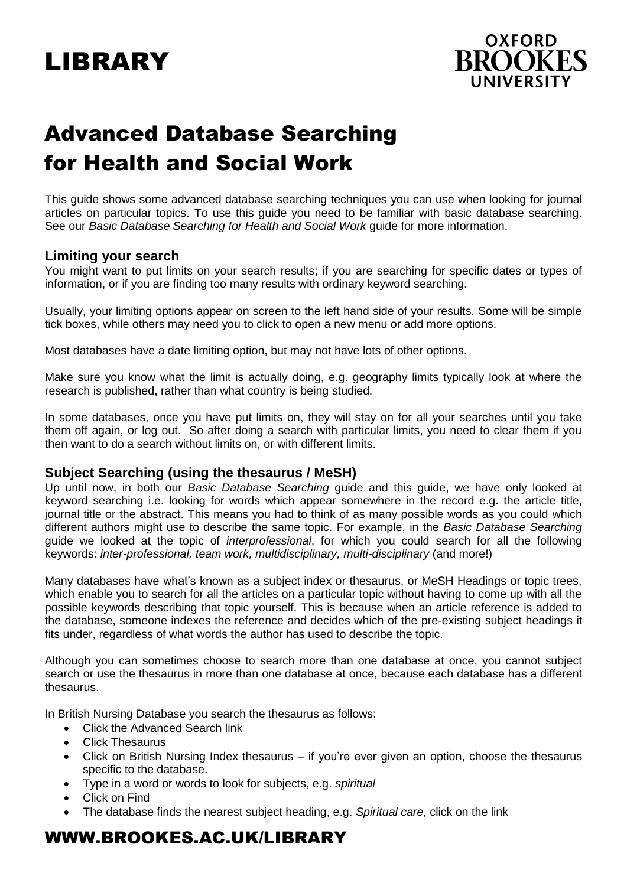# LIBRARY



# Advanced Database Searching for Health and Social Work

This guide shows some advanced database searching techniques you can use when looking for journal articles on particular topics. To use this guide you need to be familiar with basic database searching. See our *Basic Database Searching for Health and Social Work* guide for more information.

# **Limiting your search**

You might want to put limits on your search results; if you are searching for specific dates or types of information, or if you are finding too many results with ordinary keyword searching.

Usually, your limiting options appear on screen to the left hand side of your results. Some will be simple tick boxes, while others may need you to click to open a new menu or add more options.

Most databases have a date limiting option, but may not have lots of other options.

Make sure you know what the limit is actually doing, e.g. geography limits typically look at where the research is published, rather than what country is being studied.

In some databases, once you have put limits on, they will stay on for all your searches until you take them off again, or log out. So after doing a search with particular limits, you need to clear them if you then want to do a search without limits on, or with different limits.

## **Subject Searching (using the thesaurus / MeSH)**

Up until now, in both our *Basic Database Searching* guide and this guide, we have only looked at keyword searching i.e. looking for words which appear somewhere in the record e.g. the article title, journal title or the abstract. This means you had to think of as many possible words as you could which different authors might use to describe the same topic. For example, in the *Basic Database Searching* guide we looked at the topic of *interprofessional*, for which you could search for all the following keywords: *inter-professional, team work, multidisciplinary, multi-disciplinary* (and more!)

Many databases have what's known as a subject index or thesaurus, or MeSH Headings or topic trees, which enable you to search for all the articles on a particular topic without having to come up with all the possible keywords describing that topic yourself. This is because when an article reference is added to the database, someone indexes the reference and decides which of the pre-existing subject headings it fits under, regardless of what words the author has used to describe the topic.

Although you can sometimes choose to search more than one database at once, you cannot subject search or use the thesaurus in more than one database at once, because each database has a different thesaurus.

In British Nursing Database you search the thesaurus as follows:

- Click the Advanced Search link
- Click Thesaurus
- Click on British Nursing Index thesaurus if you're ever given an option, choose the thesaurus specific to the database.
- Type in a word or words to look for subjects, e.g. *spiritual*
- Click on Find
- The database finds the nearest subject heading, e.g. *Spiritual care,* click on the link

# WWW.BROOKES.AC.UK/LIBRARY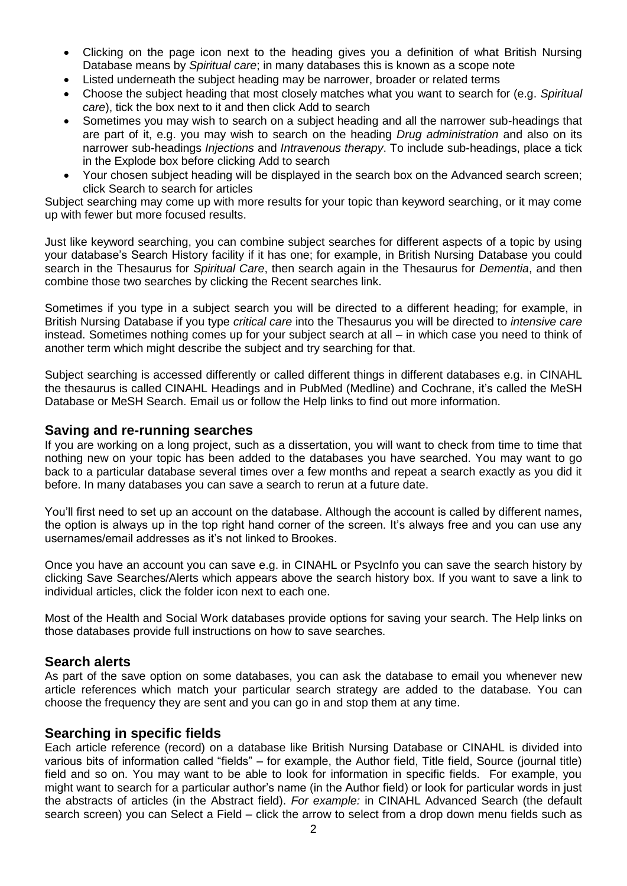- Clicking on the page icon next to the heading gives you a definition of what British Nursing Database means by *Spiritual care*; in many databases this is known as a scope note
- Listed underneath the subject heading may be narrower, broader or related terms
- Choose the subject heading that most closely matches what you want to search for (e.g. *Spiritual care*), tick the box next to it and then click Add to search
- Sometimes you may wish to search on a subject heading and all the narrower sub-headings that are part of it, e.g. you may wish to search on the heading *Drug administration* and also on its narrower sub-headings *Injections* and *Intravenous therapy*. To include sub-headings, place a tick in the Explode box before clicking Add to search
- Your chosen subject heading will be displayed in the search box on the Advanced search screen; click Search to search for articles

Subject searching may come up with more results for your topic than keyword searching, or it may come up with fewer but more focused results.

Just like keyword searching, you can combine subject searches for different aspects of a topic by using your database's Search History facility if it has one; for example, in British Nursing Database you could search in the Thesaurus for *Spiritual Care*, then search again in the Thesaurus for *Dementia*, and then combine those two searches by clicking the Recent searches link.

Sometimes if you type in a subject search you will be directed to a different heading; for example, in British Nursing Database if you type *critical care* into the Thesaurus you will be directed to *intensive care* instead. Sometimes nothing comes up for your subject search at all – in which case you need to think of another term which might describe the subject and try searching for that.

Subject searching is accessed differently or called different things in different databases e.g. in CINAHL the thesaurus is called CINAHL Headings and in PubMed (Medline) and Cochrane, it's called the MeSH Database or MeSH Search. Email us or follow the Help links to find out more information.

#### **Saving and re-running searches**

If you are working on a long project, such as a dissertation, you will want to check from time to time that nothing new on your topic has been added to the databases you have searched. You may want to go back to a particular database several times over a few months and repeat a search exactly as you did it before. In many databases you can save a search to rerun at a future date.

You'll first need to set up an account on the database. Although the account is called by different names, the option is always up in the top right hand corner of the screen. It's always free and you can use any usernames/email addresses as it's not linked to Brookes.

Once you have an account you can save e.g. in CINAHL or PsycInfo you can save the search history by clicking Save Searches/Alerts which appears above the search history box. If you want to save a link to individual articles, click the folder icon next to each one.

Most of the Health and Social Work databases provide options for saving your search. The Help links on those databases provide full instructions on how to save searches.

## **Search alerts**

As part of the save option on some databases, you can ask the database to email you whenever new article references which match your particular search strategy are added to the database. You can choose the frequency they are sent and you can go in and stop them at any time.

## **Searching in specific fields**

Each article reference (record) on a database like British Nursing Database or CINAHL is divided into various bits of information called "fields" – for example, the Author field, Title field, Source (journal title) field and so on. You may want to be able to look for information in specific fields. For example, you might want to search for a particular author's name (in the Author field) or look for particular words in just the abstracts of articles (in the Abstract field). *For example:* in CINAHL Advanced Search (the default search screen) you can Select a Field – click the arrow to select from a drop down menu fields such as